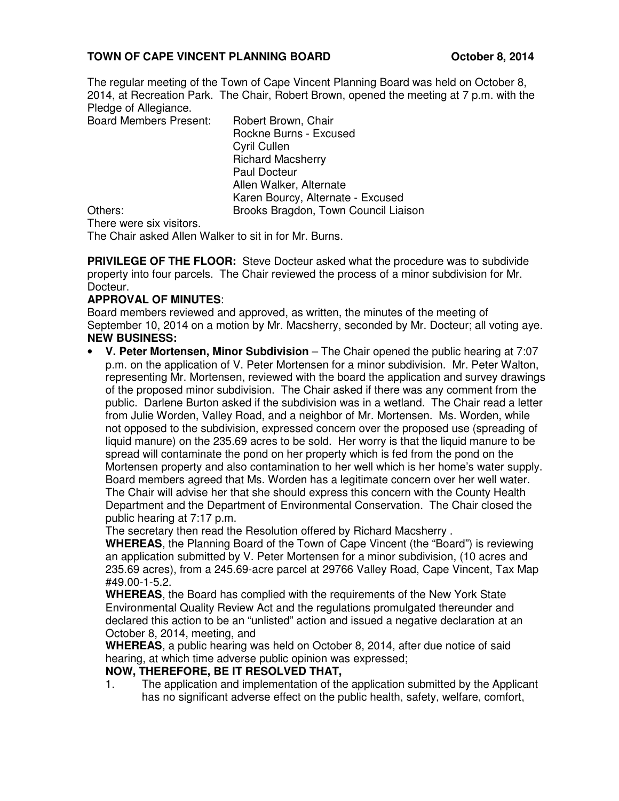# **TOWN OF CAPE VINCENT PLANNING BOARD October 8, 2014**

The regular meeting of the Town of Cape Vincent Planning Board was held on October 8, 2014, at Recreation Park. The Chair, Robert Brown, opened the meeting at 7 p.m. with the Pledge of Allegiance.

Board Members Present: Robert Brown, Chair

 Rockne Burns - Excused Cyril Cullen Richard Macsherry Paul Docteur Allen Walker, Alternate Karen Bourcy, Alternate - Excused Others: Brooks Bragdon, Town Council Liaison

There were six visitors.

The Chair asked Allen Walker to sit in for Mr. Burns.

**PRIVILEGE OF THE FLOOR:** Steve Docteur asked what the procedure was to subdivide property into four parcels. The Chair reviewed the process of a minor subdivision for Mr. Docteur.

## **APPROVAL OF MINUTES**:

Board members reviewed and approved, as written, the minutes of the meeting of September 10, 2014 on a motion by Mr. Macsherry, seconded by Mr. Docteur; all voting aye. **NEW BUSINESS:** 

• **V. Peter Mortensen, Minor Subdivision** – The Chair opened the public hearing at 7:07 p.m. on the application of V. Peter Mortensen for a minor subdivision. Mr. Peter Walton, representing Mr. Mortensen, reviewed with the board the application and survey drawings of the proposed minor subdivision. The Chair asked if there was any comment from the public. Darlene Burton asked if the subdivision was in a wetland. The Chair read a letter from Julie Worden, Valley Road, and a neighbor of Mr. Mortensen. Ms. Worden, while not opposed to the subdivision, expressed concern over the proposed use (spreading of liquid manure) on the 235.69 acres to be sold. Her worry is that the liquid manure to be spread will contaminate the pond on her property which is fed from the pond on the Mortensen property and also contamination to her well which is her home's water supply. Board members agreed that Ms. Worden has a legitimate concern over her well water. The Chair will advise her that she should express this concern with the County Health Department and the Department of Environmental Conservation. The Chair closed the public hearing at 7:17 p.m.

The secretary then read the Resolution offered by Richard Macsherry .

**WHEREAS**, the Planning Board of the Town of Cape Vincent (the "Board") is reviewing an application submitted by V. Peter Mortensen for a minor subdivision, (10 acres and 235.69 acres), from a 245.69-acre parcel at 29766 Valley Road, Cape Vincent, Tax Map #49.00-1-5.2.

**WHEREAS**, the Board has complied with the requirements of the New York State Environmental Quality Review Act and the regulations promulgated thereunder and declared this action to be an "unlisted" action and issued a negative declaration at an October 8, 2014, meeting, and

**WHEREAS**, a public hearing was held on October 8, 2014, after due notice of said hearing, at which time adverse public opinion was expressed;

## **NOW, THEREFORE, BE IT RESOLVED THAT,**

1. The application and implementation of the application submitted by the Applicant has no significant adverse effect on the public health, safety, welfare, comfort,